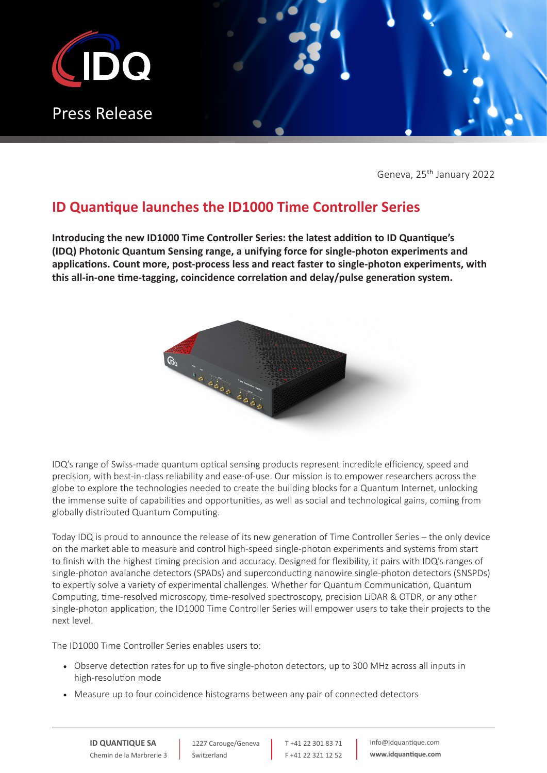

Geneva, 25<sup>th</sup> January 2022

## **ID Quantique launches the ID1000 Time Controller Series**

**Introducing the new ID1000 Time Controller Series: the latest addition to ID Quantique's (IDQ) Photonic Quantum Sensing range, a unifying force for single-photon experiments and applications. Count more, post-process less and react faster to single-photon experiments, with this all-in-one time-tagging, coincidence correlation and delay/pulse generation system.** 



IDQ's range of Swiss-made quantum optical sensing products represent incredible efficiency, speed and precision, with best-in-class reliability and ease-of-use. Our mission is to empower researchers across the globe to explore the technologies needed to create the building blocks for a Quantum Internet, unlocking the immense suite of capabilities and opportunities, as well as social and technological gains, coming from globally distributed Quantum Computing.

Today IDQ is proud to announce the release of its new generation of Time Controller Series – the only device on the market able to measure and control high-speed single-photon experiments and systems from start to finish with the highest timing precision and accuracy. Designed for flexibility, it pairs with IDQ's ranges of single-photon avalanche detectors (SPADs) and superconducting nanowire single-photon detectors (SNSPDs) to expertly solve a variety of experimental challenges. Whether for Quantum Communication, Quantum Computing, time-resolved microscopy, time-resolved spectroscopy, precision LiDAR & OTDR, or any other single-photon application, the ID1000 Time Controller Series will empower users to take their projects to the next level.

The ID1000 Time Controller Series enables users to:

- Observe detection rates for up to five single-photon detectors, up to 300 MHz across all inputs in high-resolution mode
- Measure up to four coincidence histograms between any pair of connected detectors

**ID QUANTIQUE SA** Chemin de la Marbrerie 3

1227 Carouge/Geneva Switzerland

T +41 22 301 83 71 F +41 22 321 12 52 info@idquantique.com **www.idquantique.com**